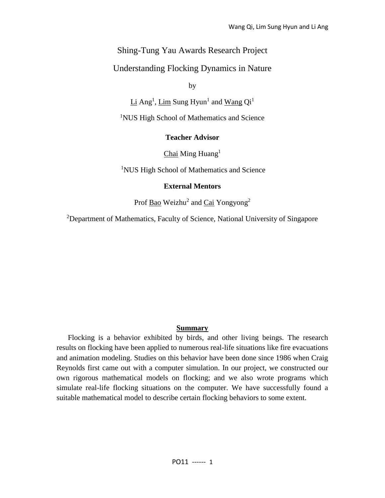# Shing-Tung Yau Awards Research Project

# Understanding Flocking Dynamics in Nature

by

 $Li$  Ang<sup>1</sup>,  $Lim$  Sung Hyun<sup>1</sup> and  $Wang$  Qi<sup>1</sup>

<sup>1</sup>NUS High School of Mathematics and Science

# **Teacher Advisor**

 $Chai$  Ming Huang<sup>1</sup>

<sup>1</sup>NUS High School of Mathematics and Science

#### **External Mentors**

Prof **Bao** Weizhu<sup>2</sup> and *Cai* Yongyong<sup>2</sup>

<sup>2</sup>Department of Mathematics, Faculty of Science, National University of Singapore

## **Summary**

Flocking is a behavior exhibited by birds, and other living beings. The research results on flocking have been applied to numerous real-life situations like fire evacuations and animation modeling. Studies on this behavior have been done since 1986 when Craig Reynolds first came out with a computer simulation. In our project, we constructed our own rigorous mathematical models on flocking; and we also wrote programs which simulate real-life flocking situations on the computer. We have successfully found a suitable mathematical model to describe certain flocking behaviors to some extent.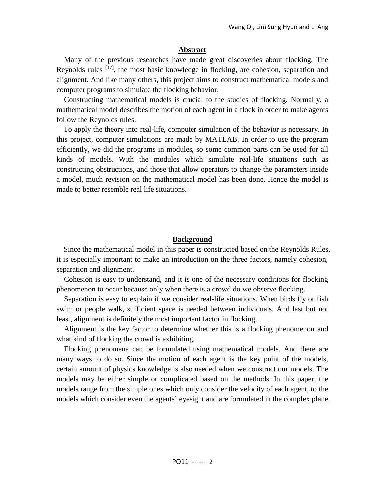#### **Abstract**

 Many of the previous researches have made great discoveries about flocking. The Reynolds rules  $[17]$ , the most basic knowledge in flocking, are cohesion, separation and alignment. And like many others, this project aims to construct mathematical models and computer programs to simulate the flocking behavior.

 Constructing mathematical models is crucial to the studies of flocking. Normally, a mathematical model describes the motion of each agent in a flock in order to make agents follow the Reynolds rules.

To apply the theory into real-life, computer simulation of the behavior is necessary. In this project, computer simulations are made by MATLAB. In order to use the program efficiently, we did the programs in modules, so some common parts can be used for all kinds of models. With the modules which simulate real-life situations such as constructing obstructions, and those that allow operators to change the parameters inside a model, much revision on the mathematical model has been done. Hence the model is made to better resemble real life situations.

#### **Background**

Since the mathematical model in this paper is constructed based on the Reynolds Rules, it is especially important to make an introduction on the three factors, namely cohesion, separation and alignment.

Cohesion is easy to understand, and it is one of the necessary conditions for flocking phenomenon to occur because only when there is a crowd do we observe flocking.

Separation is easy to explain if we consider real-life situations. When birds fly or fish swim or people walk, sufficient space is needed between individuals. And last but not least, alignment is definitely the most important factor in flocking.

Alignment is the key factor to determine whether this is a flocking phenomenon and what kind of flocking the crowd is exhibiting.

 Flocking phenomena can be formulated using mathematical models. And there are many ways to do so. Since the motion of each agent is the key point of the models, certain amount of physics knowledge is also needed when we construct our models. The models may be either simple or complicated based on the methods. In this paper, the models range from the simple ones which only consider the velocity of each agent, to the models which consider even the agents' eyesight and are formulated in the complex plane.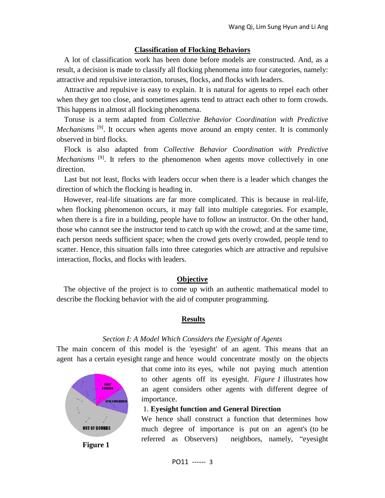## **Classification of Flocking Behaviors**

 A lot of classification work has been done before models are constructed. And, as a result, a decision is made to classify all flocking phenomena into four categories, namely: attractive and repulsive interaction, toruses, flocks, and flocks with leaders.

 Attractive and repulsive is easy to explain. It is natural for agents to repel each other when they get too close, and sometimes agents tend to attract each other to form crowds. This happens in almost all flocking phenomena.

 Toruse is a term adapted from *Collective Behavior Coordination with Predictive Mechanisms* <sup>[9]</sup>. It occurs when agents move around an empty center. It is commonly observed in bird flocks.

 Flock is also adapted from *Collective Behavior Coordination with Predictive Mechanisms* <sup>[9]</sup>. It refers to the phenomenon when agents move collectively in one direction.

 Last but not least, flocks with leaders occur when there is a leader which changes the direction of which the flocking is heading in.

However, real-life situations are far more complicated. This is because in real-life, when flocking phenomenon occurs, it may fall into multiple categories. For example, when there is a fire in a building, people have to follow an instructor. On the other hand, those who cannot see the instructor tend to catch up with the crowd; and at the same time, each person needs sufficient space; when the crowd gets overly crowded, people tend to scatter. Hence, this situation falls into three categories which are attractive and repulsive interaction, flocks, and flocks with leaders.

# **Objective**

The objective of the project is to come up with an authentic mathematical model to describe the flocking behavior with the aid of computer programming.

# **Results**

#### *Section I: A Model Which Considers the Eyesight of Agents*

The main concern of this model is the 'eyesight' of an agent. This means that an agent has a certain eyesight range and hence would concentrate mostly on the objects



that come into its eyes, while not paying much attention to other agents off its eyesight. *Figure 1* illustrates how an agent considers other agents with different degree of importance.

#### 1. **Eyesight function and General Direction**

We hence shall construct a function that determines how much degree of importance is put on an agent's (to be referred as Observers) neighbors, namely, "eyesight

**Figure 1**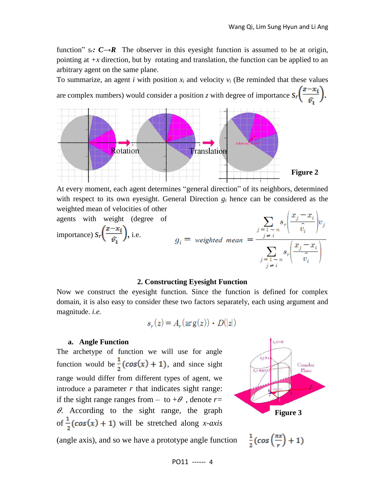function"  $s_r$ :  $C \rightarrow R$  The observer in this eyesight function is assumed to be at origin, pointing at  $+x$  direction, but by rotating and translation, the function can be applied to an arbitrary agent on the same plane.

To summarize, an agent *i* with position  $x_i$  and velocity  $v_i$  (Be reminded that these values are complex numbers) would consider a position *z* with degree of importance  $s_r\left(\frac{z-x_i}{\hat{x}}\right)$ .



At every moment, each agent determines "general direction" of its neighbors, determined with respect to its own eyesight. General Direction *g<sup>i</sup>* hence can be considered as the



#### **2. Constructing Eyesight Function**

Now we construct the eyesight function. Since the function is defined for complex domain, it is also easy to consider these two factors separately, each using argument and magnitude. *i.e.*

$$
s_r(z) = A_r(\arg(z)) \cdot D(|z|)
$$

#### **a. Angle Function**

The archetype of function we will use for angle function would be  $\frac{1}{2}(\cos(x) + 1)$ , and since sight range would differ from different types of agent, we introduce a parameter  $r$  that indicates sight range: if the sight range ranges from  $-$  to  $+\theta$ , denote *r*=  $\theta$ . According to the sight range, the graph of  $\frac{1}{2}$ (cos(x) + 1) will be stretched along *x-axis* 



(angle axis), and so we have a prototype angle function

 $\frac{1}{2}(cos(\frac{\pi x}{r})+1)$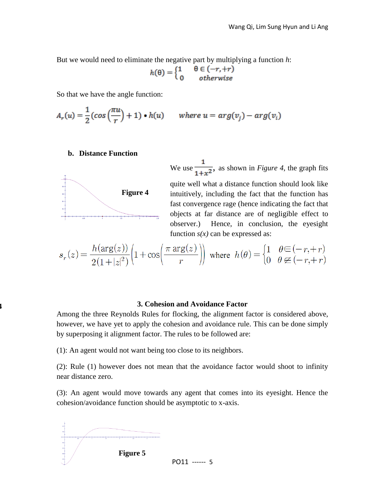But we would need to eliminate the negative part by multiplying a function *h*:

$$
h(\theta) = \begin{cases} 1 & \theta \in (-r, +r) \\ 0 & otherwise \end{cases}
$$

So that we have the angle function:

$$
A_r(u) = \frac{1}{2} (\cos\left(\frac{\pi u}{r}\right) + 1) \cdot h(u) \quad \text{where } u = \arg(v_j) - \arg(v_i)
$$

# **b. Distance Function**



**Figure 4** 

We use  $\frac{1}{1+r^2}$ , as shown in *Figure 4*, the graph fits quite well what a distance function should look like intuitively, including the fact that the function has fast convergence rage (hence indicating the fact that objects at far distance are of negligible effect to observer.) Hence, in conclusion, the eyesight function  $s(x)$  can be expressed as:

$$
s_r(z) = \frac{h(\arg(z))}{2(1+|z|^2)} \left(1 + \cos\left(\frac{\pi \arg(z)}{r}\right)\right) \text{ where } h(\theta) = \begin{cases} 1 & \theta \in (-r, +r) \\ 0 & \theta \notin (-r, +r) \end{cases}
$$

### **3. Cohesion and Avoidance Factor**

Among the three Reynolds Rules for flocking, the alignment factor is considered above, however, we have yet to apply the cohesion and avoidance rule. This can be done simply by superposing it alignment factor. The rules to be followed are:

(1): An agent would not want being too close to its neighbors.

(2): Rule (1) however does not mean that the avoidance factor would shoot to infinity near distance zero.

(3): An agent would move towards any agent that comes into its eyesight. Hence the cohesion/avoidance function should be asymptotic to x-axis.

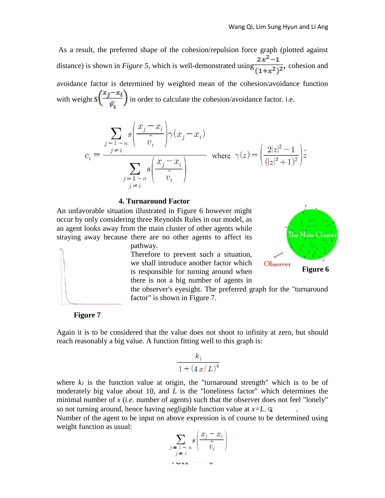As a result, the preferred shape of the cohesion/repulsion force graph (plotted against distance) is shown in *Figure 5*, which is well-demonstrated using  $\frac{2x^2-1}{(1+x^2)^2}$ , cohesion and avoidance factor is determined by weighted mean of the cohesion/avoidance function with weight  $s\left(\frac{x_j - x_i}{\hat{v}_i}\right)$  in order to calculate the cohesion/avoidance factor. i.e.

$$
c_i = \frac{\sum_{j=1 \sim n} s \left( \frac{x_j - x_i}{\hat{v}_i} \right) \gamma(x_j - x_i)}{\sum_{\substack{j=1 \sim n \\ j \neq i}} s \left( \frac{x_j - x_i}{\hat{v}_i} \right)}
$$
 where  $\gamma(z) = \left( \frac{2|z|^2 - 1}{(|z|^2 + 1)^2} \right) \hat{z}$ 

#### **4. Turnaround Factor**

An unfavorable situation illustrated in Figure 6 however might occur by only considering three Reynolds Rules in our model, as an agent looks away from the main cluster of other agents while straying away because there are no other agents to affect its

pathway.

Therefore to prevent such a situation, we shall introduce another factor which is responsible for turning around when there is not a big number of agents in



the observer's eyesight. The preferred graph for the "turnaround factor" is shown in Figure 7.

**Figure 7**

Again it is to be considered that the value does not shoot to infinity at zero, but should reach reasonably a big value. A function fitting well to this graph is:

$$
\frac{k_1}{1+(4\,x/\,L)^4}
$$

where  $k_l$  is the function value at origin, the "turnaround strength" which is to be of moderately big value about 10, and *L* is the "loneliness factor" which determines the minimal number of *x* (*i.e.* number of agents) such that the observer does not feel "lonely" so not turning around, hence having negligible function value at  $x=L$ .

Number of the agent to be input on above expression is of course to be determined using weight function as usual:

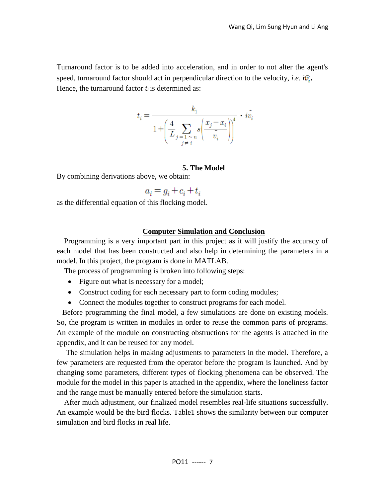Turnaround factor is to be added into acceleration, and in order to not alter the agent's speed, turnaround factor should act in perpendicular direction to the velocity, *i.e.*  $i\hat{v}_i$ . Hence, the turnaround factor *t<sup>i</sup>* is determined as:

$$
t_i = \frac{k_1}{1 + \left(\displaystyle\frac{4}{L} \displaystyle\sum_{\stackrel{\scriptstyle j \; = \; 1 \; \sim \; n}{j \; \neq \; i}} s\bigg(\frac{x_j - x_i}{\hat{v_i}}\bigg)\!\!\bigg]^4} \,\cdot\, i\hat{v_i}
$$

# **5. The Model**

By combining derivations above, we obtain:

 $a_i = g_i + c_i + t_i$ 

as the differential equation of this flocking model.

## **Computer Simulation and Conclusion**

Programming is a very important part in this project as it will justify the accuracy of each model that has been constructed and also help in determining the parameters in a model. In this project, the program is done in MATLAB.

The process of programming is broken into following steps:

- Figure out what is necessary for a model;
- Construct coding for each necessary part to form coding modules;
- Connect the modules together to construct programs for each model.

Before programming the final model, a few simulations are done on existing models. So, the program is written in modules in order to reuse the common parts of programs. An example of the module on constructing obstructions for the agents is attached in the appendix, and it can be reused for any model.

 The simulation helps in making adjustments to parameters in the model. Therefore, a few parameters are requested from the operator before the program is launched. And by changing some parameters, different types of flocking phenomena can be observed. The module for the model in this paper is attached in the appendix, where the loneliness factor and the range must be manually entered before the simulation starts.

After much adjustment, our finalized model resembles real-life situations successfully. An example would be the bird flocks. Table1 shows the similarity between our computer simulation and bird flocks in real life.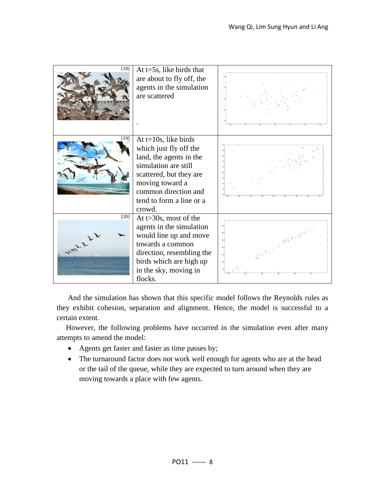

And the simulation has shown that this specific model follows the Reynolds rules as they exhibit cohesion, separation and alignment. Hence, the model is successful to a certain extent.

 However, the following problems have occurred in the simulation even after many attempts to amend the model:

- Agents get faster and faster as time passes by;
- The turnaround factor does not work well enough for agents who are at the head or the tail of the queue, while they are expected to turn around when they are moving towards a place with few agents.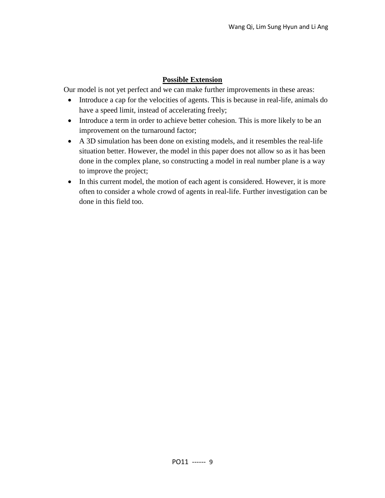# **Possible Extension**

Our model is not yet perfect and we can make further improvements in these areas:

- Introduce a cap for the velocities of agents. This is because in real-life, animals do have a speed limit, instead of accelerating freely;
- Introduce a term in order to achieve better cohesion. This is more likely to be an improvement on the turnaround factor;
- A 3D simulation has been done on existing models, and it resembles the real-life situation better. However, the model in this paper does not allow so as it has been done in the complex plane, so constructing a model in real number plane is a way to improve the project;
- In this current model, the motion of each agent is considered. However, it is more often to consider a whole crowd of agents in real-life. Further investigation can be done in this field too.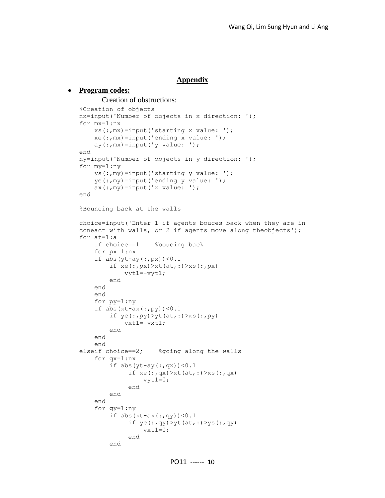# **Appendix**

#### **Program codes:**

Creation of obstructions:

```
%Creation of objects
nx=input('Number of objects in x direction: ');
for mx=1:nx
    xs(:,mx)=input('starting x value: ');
    xe(:,mx) = input('ending x value: ');ay(:,mx) = input('y value: ');end
ny=input('Number of objects in y direction: ');
for my=1:ny
    ys(:,my)=input('starting y value: ');
    ye(:,my) = input('ending y value: ');ax(:,my) = input('x value: ');end
%Bouncing back at the walls
choice=input('Enter 1 if agents bouces back when they are in 
coneact with walls, or 2 if agents move along theobjects');
for at=1:a
    if choice==1 %boucing back
    for px=1:nx
    if abs(yt-ay(:,px))<0.1if xe(:,px)>xt(at,:)>xs(:,px)
            vyt1=-vyt1;
        end
    end
    end
    for py=1:ny
    if abs(xt-ax(:,py))<0.1
        if ye(:,py)>yt(at,:)>xs(:,py)
            vxt1=-vxt1;
        end
    end
    end
elseif choice==2; %going along the walls
    for qx=1:nx
        if abs(yt-ay(:,qx))<0.1
             if xe(:,qx) > xt(at,:) > xs(:,qx)vyt1=0;end
        end
    end
    for qy=1:ny
        if abs(xt-ax(:,qy))<0.1if ye(:,qy)>yt(at,:)>ys(:,qy)
                 vxt1=0;end
        end
```
PO11 ------ 10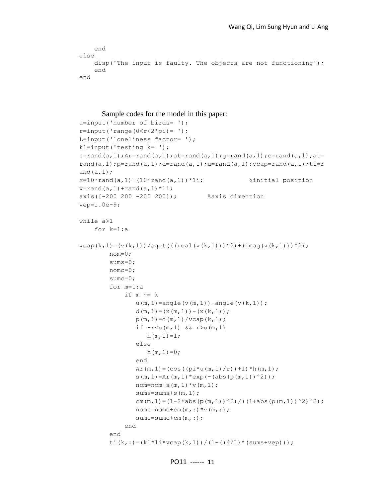```
end
else 
    disp('The input is faulty. The objects are not functioning');
    end
end
```
#### Sample codes for the model in this paper:

```
a=input('number of birds= ');
r = input('range(0 < r < 2*pi) = ');L=input('loneliness factor= ');
k1=input('testing k= ');
s=rand(a, 1);Ar=rand(a, 1);at=rand(a, 1);g=rand(a, 1);c=rand(a, 1);at=
rand(a, 1); p=rand(a, 1); d=rand(a, 1); u=rand(a, 1); vcap=rand(a, 1); ti=r
and(a,1);
x=10*rand(a,1)+(10*rand(a,1))*1i; <br> $initial position
v=rand(a,1)+rand(a,1)*1i;axis([-200 200 -200 200]); %axis dimention
vep=1.0e-9;
while a>1
     for k=1:a
vcap(k,1)=(v(k,1))/sqrt((real(v(k,1)))^{2}+(imag(v(k,1)))^{2}; nom=0;
         sums=0;
         nomc=0;
         sumc=0;
         for m=1:a
             if m \sim = ku(m,1)=angle(v(m,1))-angle(v(k,1));
                d(m, 1) = (x(m, 1)) - (x(k, 1));
                p(m,1)=d(m,1)/vcap(k,1);if -r < u(m, 1) & r > u(m, 1)h(m,1)=1; else
                   h(m, 1) = 0; end
                Ar(m, 1) = (cos((pi*u(m,1)/r) +1) *h(m, 1);
                s(m, 1)=Ar(m, 1) *exp(-(abs(p(m, 1))^2));
                nom=nom+s(m, 1) *v(m, 1);
                 sums=sums+s(m,1);
                cm(m, 1) = (1-2*abs(p(m, 1))^2)/((1+abs(p(m, 1))^2)^2);
                nomc=nomc+cm(m, :)*v(m, :); sumc=sumc+cm(m,:);
              end
         end
        ti(k,:)=(k1*1i*vcap(k,1))/(1+((4/L)*(sums+vep)));
```

```
PO11 ------ 11
```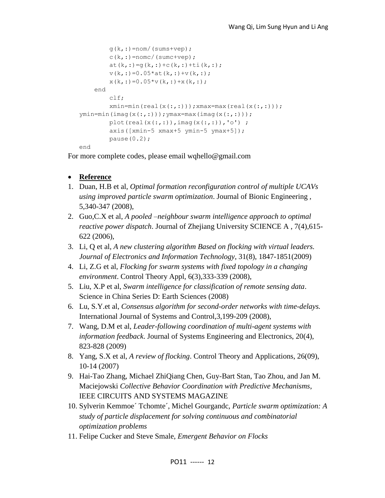```
g(k,:)=nom/(sums+vep);c(k,:)=\text{nomc}/(\text{sumc+vep});at(k,:)=g(k,:)+c(k,:)+ti(k,:);
        v(k, :)=0.05*at(k, :)+v(k, :);x(k, :)=0.05*x(k, :)+x(k, :); end
         clf;
        xmin=min(real(x(:,:)));xmax=max(real(x(:,:)));
ymin=min(imaq(x(:,:))); ymax=max(imaq(x(:,:)));
        plot(real(x(:,:)), imag(x(:,:)), 'o') ;
         axis([xmin-5 xmax+5 ymin-5 ymax+5]);
         pause(0.2);
end
```
For more complete codes, please email wqhello@gmail.com

- **Reference**
- 1. Duan, H.B et al, *Optimal formation reconfiguration control of multiple UCAVs using improved particle swarm optimization*. Journal of Bionic Engineering , 5,340-347 (2008),
- 2. Guo,C.X et al, *A pooled –neighbour swarm intelligence approach to optimal reactive power dispatch*. Journal of Zhejiang University SCIENCE A , 7(4),615- 622 (2006),
- 3. Li, Q et al, *A new clustering algorithm Based on flocking with virtual leaders. Journal of Electronics and Information Technology*, 31(8), 1847-1851(2009)
- 4. Li, Z.G et al, *Flocking for swarm systems with fixed topology in a changing environment*. Control Theory Appl, 6(3),333-339 (2008),
- 5. Liu, X.P et al, *Swarm intelligence for classification of remote sensing data*. Science in China Series D: Earth Sciences (2008)
- 6. Lu, S.Y.et al, *Consensus algorithm for second-order networks with time-delays.* International Journal of Systems and Control,3,199-209 (2008),
- 7. Wang, D.M et al, *Leader-following coordination of multi-agent systems with information feedback*. Journal of Systems Engineering and Electronics, 20(4), 823-828 (2009)
- 8. Yang, S.X et al, *A review of flocking*. Control Theory and Applications, 26(09), 10-14 (2007)
- 9. Hai-Tao Zhang, Michael ZhiQiang Chen, Guy-Bart Stan, Tao Zhou, and Jan M. Maciejowski *Collective Behavior Coordination with Predictive Mechanisms*, IEEE CIRCUITS AND SYSTEMS MAGAZINE
- 10. Sylverin Kemmoe´ Tchomte´, Michel Gourgandc, *Particle swarm optimization: A study of particle displacement for solving continuous and combinatorial optimization problems*
- 11. Felipe Cucker and Steve Smale, *Emergent Behavior on Flocks*